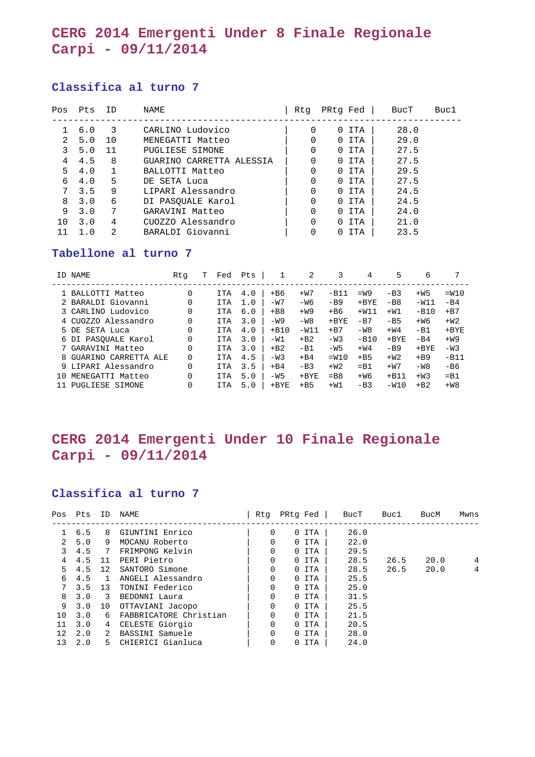## **CERG 2014 Emergenti Under 8 Finale Regionale Carpi - 09/11/2014**

### **Classifica al turno 7**

| Pos | Pts | ID | NAME                     | Rtq | PRtg Fed     |            | BucT | Buc1 |
|-----|-----|----|--------------------------|-----|--------------|------------|------|------|
|     | 6.0 | 3  | CARLINO Ludovico         | 0   | 0            | TTA        | 28.0 |      |
| 2   | 5.0 | 10 | MENEGATTI Matteo         | 0   | <sup>n</sup> | ITA        | 29.0 |      |
| 3   | 5.0 | 11 | PUGLIESE SIMONE          | 0   | $\Omega$     | ITA        | 27.5 |      |
| 4   | 4.5 | 8  | GUARINO CARRETTA ALESSIA | 0   | 0            | ITA        | 27.5 |      |
| 5.  | 4.0 |    | BALLOTTI Matteo          | 0   | $\Omega$     | ITA        | 29.5 |      |
| 6   | 4.0 | 5  | DE SETA Luca             | 0   | $\Omega$     | ITA        | 27.5 |      |
| 7   | 3.5 | 9  | LIPARI Alessandro        | 0   | <sup>n</sup> | ITA        | 24.5 |      |
| 8   | 3.0 | 6  | DI PASOUALE Karol        | 0   | 0            | ITA        | 24.5 |      |
| 9   | 3.0 | 7  | GARAVINI Matteo          | 0   | <sup>n</sup> | TTA        | 24.0 |      |
| 1 O | 3.0 | 4  | CUOZZO Alessandro        | 0   | <sup>n</sup> | ITA        | 21.0 |      |
|     | 1.0 | 2  | BARALDI Giovanni         |     |              | <b>ITA</b> | 23.5 |      |

#### **Tabellone al turno 7**

| ID NAME                   | Rtq | Fed        | Pts |         | 2       |           | 4       | 5       | 6       | 7       |
|---------------------------|-----|------------|-----|---------|---------|-----------|---------|---------|---------|---------|
| 1 BALLOTTI Matteo         | 0   | <b>ITA</b> | 4.0 | $+ B6$  | $+W7$   | $-B11$    | $=W9$   | $-B3$   | $+W5$   | $=W10$  |
| 2 BARALDI Giovanni        | 0   | <b>ITA</b> | 1.0 | $-W7$   | -W6     | $-B9$     | $+$ BYE | $-B8$   | $-W11$  | $-B4$   |
|                           |     |            |     |         |         |           | $+W11$  |         |         |         |
| 3 CARLINO Ludovico        | 0   | <b>ITA</b> | 6.0 | $+BB$   | $+W9$   | $+ B6$    |         | $+W1$   | $-B10$  | $+ B7$  |
| CUOZZO Alessandro         | 0   | <b>ITA</b> | 3.0 | $-W9$   | $-W8$   | $+$ BYE   | $-B7$   | $-B5$   | $+W6$   | $+W2$   |
| SETA Luca<br>5 DE         | 0   | <b>ITA</b> | 4.0 | $+ B10$ | $-W11$  | $+ B7$    | $-W8$   | $+W4$   | $-B1$   | $+$ BYE |
| 6 DI PASOUALE Karol       | 0   | <b>ITA</b> | 3.0 | $-W1$   | $+ B2$  | $-W3$     | $-B10$  | $+$ BYE | $-B4$   | $+W9$   |
| 7 GARAVINI Matteo         | 0   | <b>ITA</b> | 3.0 | $+ B2$  | $-B1$   | $-W5$     | $+W4$   | $-B9$   | $+$ BYE | $-W3$   |
| GUARINO CARRETTA ALE<br>8 | 0   | <b>ITA</b> | 4.5 | $-W3$   | $+B4$   | $=W10$    | $+B5$   | $+W2$   | $+B9$   | $-B11$  |
| 9 LIPARI Alessandro       | 0   | <b>ITA</b> | 3.5 | $+B4$   | $-B3$   | $+W2$     | $=$ B1  | $+W7$   | $-W8$   | $-B6$   |
| MENEGATTI Matteo<br>า ก   | 0   | <b>ITA</b> | 5.0 | $-W5$   | $+$ BYE | $=$ B $8$ | $+W6$   | $+B11$  | $+W3$   | $=$ B1  |
| PUGLIESE SIMONE           | 0   | <b>ITA</b> | 5.0 | $+$ BYE | $+B5$   | $+W1$     | $-B3$   | $-W10$  | $+ B2$  | $+W8$   |

# **CERG 2014 Emergenti Under 10 Finale Regionale Carpi - 09/11/2014**

### **Classifica al turno 7**

| Pos               | Pts | ΙD | NAME                   | Rtq      | PRtq Fed | BucT | Buc1 | BucM | Mwns |
|-------------------|-----|----|------------------------|----------|----------|------|------|------|------|
|                   | 6.5 | 8  | GIUNTINI Enrico        | $\Omega$ | 0 ITA    | 26.0 |      |      |      |
| $\mathcal{L}$     | 5.0 | 9  | MOCANU Roberto         | $\Omega$ | 0 ITA    | 22.0 |      |      |      |
| 3                 | 4.5 | 7  | FRIMPONG Kelvin        | 0        | 0 ITA    | 29.5 |      |      |      |
| 4                 | 4.5 | 11 | PERI Pietro            | 0        | 0 ITA    | 28.5 | 26.5 | 20.0 | 4    |
| 5                 | 4.5 | 12 | SANTORO Simone         | 0        | 0 ITA    | 28.5 | 26.5 | 20.0 | 4    |
| 6                 | 4.5 |    | ANGELI Alessandro      | 0        | 0 ITA    | 25.5 |      |      |      |
| $7\overline{ }$   | 3.5 | 13 | TONINI Federico        | $\Omega$ | 0 ITA    | 25.0 |      |      |      |
| 8                 | 3.0 | 3  | BEDONNI Laura          | 0        | 0 ITA    | 31.5 |      |      |      |
| 9                 | 3.0 | 10 | OTTAVIANI Jacopo       | $\Omega$ | 0 ITA    | 25.5 |      |      |      |
| 10                | 3.0 | 6  | FABBRICATORE Christian | 0        | 0 ITA    | 21.5 |      |      |      |
| 11                | 3.0 | 4  | CELESTE Giorgio        | 0        | 0 ITA    | 20.5 |      |      |      |
| $12 \overline{ }$ | 2.0 | 2  | BASSINI Samuele        | $\Omega$ | 0 ITA    | 28.0 |      |      |      |
| 13                | 2.0 | 5. | CHIERICI Gianluca      | 0        | 0 ITA    | 24.0 |      |      |      |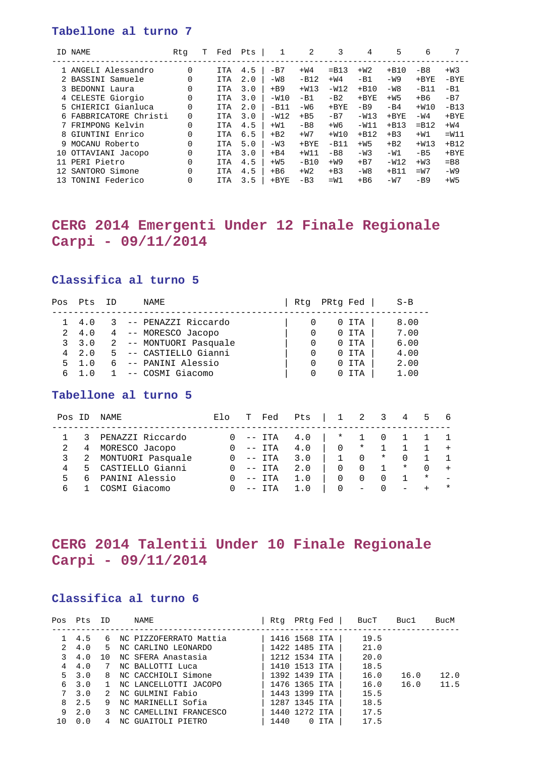### **Tabellone al turno 7**

|     | ID NAME                | Rta | T | Fed        | Pts |         | 2       | 3       | 4       | 5       | 6       | 7         |
|-----|------------------------|-----|---|------------|-----|---------|---------|---------|---------|---------|---------|-----------|
|     | 1 ANGELI Alessandro    | 0   |   | <b>ITA</b> | 4.5 | $-B7$   | $+W4$   | $=$ B13 | $+W2$   | $+ B10$ | $-B8$   | $+W3$     |
|     | 2 BASSINI Samuele      | 0   |   | <b>ITA</b> | 2.0 | $-W8$   | $-B12$  | $+W4$   | $-B1$   | $-W9$   | $+$ BYE | $-BYE$    |
|     | 3 BEDONNI Laura        | 0   |   | <b>ITA</b> | 3.0 | $+B9$   | $+W13$  | $-W12$  | $+ B10$ | $-W8$   | $-B11$  | $-B1$     |
|     | 4 CELESTE Giorgio      | 0   |   | <b>ITA</b> | 3.0 | $-W10$  | $-B1$   | $-B2$   | $+$ BYE | $+W5$   | $+ B6$  | $-B7$     |
|     | 5 CHIERICI Gianluca    | 0   |   | <b>ITA</b> | 2.0 | $-B11$  | $-W6$   | $+$ BYE | $-B9$   | $-B4$   | $+W10$  | $-B13$    |
|     | 6 FABBRICATORE Christi | 0   |   | <b>ITA</b> | 3.0 | $-W12$  | $+B5$   | $-B7$   | $-W13$  | $+$ BYE | $-W4$   | $+$ BYE   |
|     | 7 FRIMPONG Kelvin      | 0   |   | <b>ITA</b> | 4.5 | $+W1$   | $-B8$   | $+W6$   | $-W11$  | $+B13$  | $=$ B12 | $+W4$     |
|     | 8 GIUNTINI Enrico      | 0   |   | <b>ITA</b> | 6.5 | $+ B2$  | $+W7$   | $+W10$  | $+B12$  | $+B3$   | $+W1$   | $=W11$    |
|     | 9 MOCANU Roberto       | 0   |   | <b>ITA</b> | 5.0 | $-W3$   | $+$ BYE | $-B11$  | $+W5$   | $+ B2$  | $+W13$  | $+B12$    |
| 10  | OTTAVIANI Jacopo       | 0   |   | <b>ITA</b> | 3.0 | $+B4$   | $+W11$  | $-B8$   | $-W3$   | $-W1$   | $-B5$   | $+$ BYE   |
| 11  | PERI Pietro            | 0   |   | <b>ITA</b> | 4.5 | $+W5$   | $-B10$  | $+W9$   | $+B7$   | $-W12$  | $+W3$   | $=$ B $8$ |
| 12. | SANTORO Simone         | 0   |   | <b>ITA</b> | 4.5 | $+ B6$  | $+W2$   | $+B3$   | $-W8$   | $+ B11$ | $=W7$   | $-W9$     |
| 13  | TONINI Federico        | 0   |   | <b>ITA</b> | 3.5 | $+$ BYE | $-B3$   | $=W1$   | $+ B6$  | $-W7$   | $-B9$   | $+W5$     |

## **CERG 2014 Emergenti Under 12 Finale Regionale Carpi - 09/11/2014**

#### **Classifica al turno 5**

| Pos | Pts          | ΤD | NAME                   | Rtq | PRtq Fed |     | $S - B$ |
|-----|--------------|----|------------------------|-----|----------|-----|---------|
|     |              |    |                        |     |          |     |         |
|     | 4.0          |    | -- PENAZZI Riccardo    |     |          | ITA | 8.00    |
| 2   | 4.0          |    | 4 -- MORESCO Jacopo    |     |          | ITA | 7.00    |
|     | 3, 3.0       |    | 2 -- MONTUORI Pasquale |     |          | ITA | 6.00    |
|     | $4\quad 2.0$ |    | 5 -- CASTIELLO Gianni  |     |          | ITA | 4.00    |
| 5.  | 1.0          |    | -- PANINI Alessio      |     |          | ITA | 2.00    |
| 6   |              |    | -- COSMI Giacomo       | 0   |          | ТТА | 1.00    |

#### **Tabellone al turno 5**

| Pos | TD     | NAME.                              | Elo |       | Fed           | Pts        |                    | 2                 | 3        | 4        | 5        | 6      |
|-----|--------|------------------------------------|-----|-------|---------------|------------|--------------------|-------------------|----------|----------|----------|--------|
| 2   | 3<br>4 | PENAZZI Riccardo<br>MORESCO Jacopo |     | $- -$ | -- ITA<br>ITA | 4.0<br>4.0 | $\ast$<br>$\Omega$ | $\star$           |          |          |          |        |
| 3   | -2     | MONTUORI Pasquale                  |     |       | -- ITA        | 3.0        |                    | $\Omega$          | $\ast$   |          |          |        |
| 4   |        | 5 CASTIELLO Gianni                 |     |       | $--$ ITA      | 2.0        |                    | $\Omega$          |          | $^\star$ | $\Omega$ |        |
| 5   | 6      | PANINI Alessio                     |     |       | $--$ ITA      | 1.0        |                    |                   | $\Omega$ |          | $\star$  |        |
| 6   |        | COSMI Giacomo                      |     |       | ITA           | 1.0        | $\Omega$           | $\qquad \qquad -$ |          |          |          | $\ast$ |

## **CERG 2014 Talentii Under 10 Finale Regionale Carpi - 09/11/2014**

### **Classifica al turno 6**

| Pos | Pts     | <b>ID</b> | NAME                   | Rtq  | PRtg Fed      |            | BucT | Buc1 | BucM |
|-----|---------|-----------|------------------------|------|---------------|------------|------|------|------|
|     |         | 6         | NC PIZZOFERRATO Mattia |      | 1416 1568 ITA |            | 19.5 |      |      |
|     | 4.5     |           |                        |      |               |            |      |      |      |
| 2   | 4.0     | 5.        | NC CARLINO LEONARDO    |      | 1422 1485 ITA |            | 21.0 |      |      |
|     | 4.0     | 10        | NC SFERA Anastasia     |      | 1212 1534 ITA |            | 20.0 |      |      |
| 4   | 4.0     | 7         | NC BALLOTTI Luca       |      | 1410 1513 ITA |            | 18.5 |      |      |
|     | 5, 3.0  | 8         | NC CACCHIOLI Simone    |      | 1392 1439 ITA |            | 16.0 | 16.0 | 12.0 |
| 6   | 3.0     |           | NC LANCELLOTTI JACOPO  |      | 1476 1365 ITA |            | 16.0 | 16.0 | 11.5 |
|     | 7, 3, 0 | 2         | NC GULMINI Fabio       |      | 1443 1399 ITA |            | 15.5 |      |      |
| 8   | 2.5     | 9         | NC MARINELLI Sofia     |      | 1287 1345 ITA |            | 18.5 |      |      |
| 9   | 2.0     | 3         | NC CAMELLINI FRANCESCO |      | 1440 1272 ITA |            | 17.5 |      |      |
| 10  | 0.0     |           | NC GUAITOLI PIETRO     | 1440 | $\Omega$      | <b>ITA</b> | 17.5 |      |      |